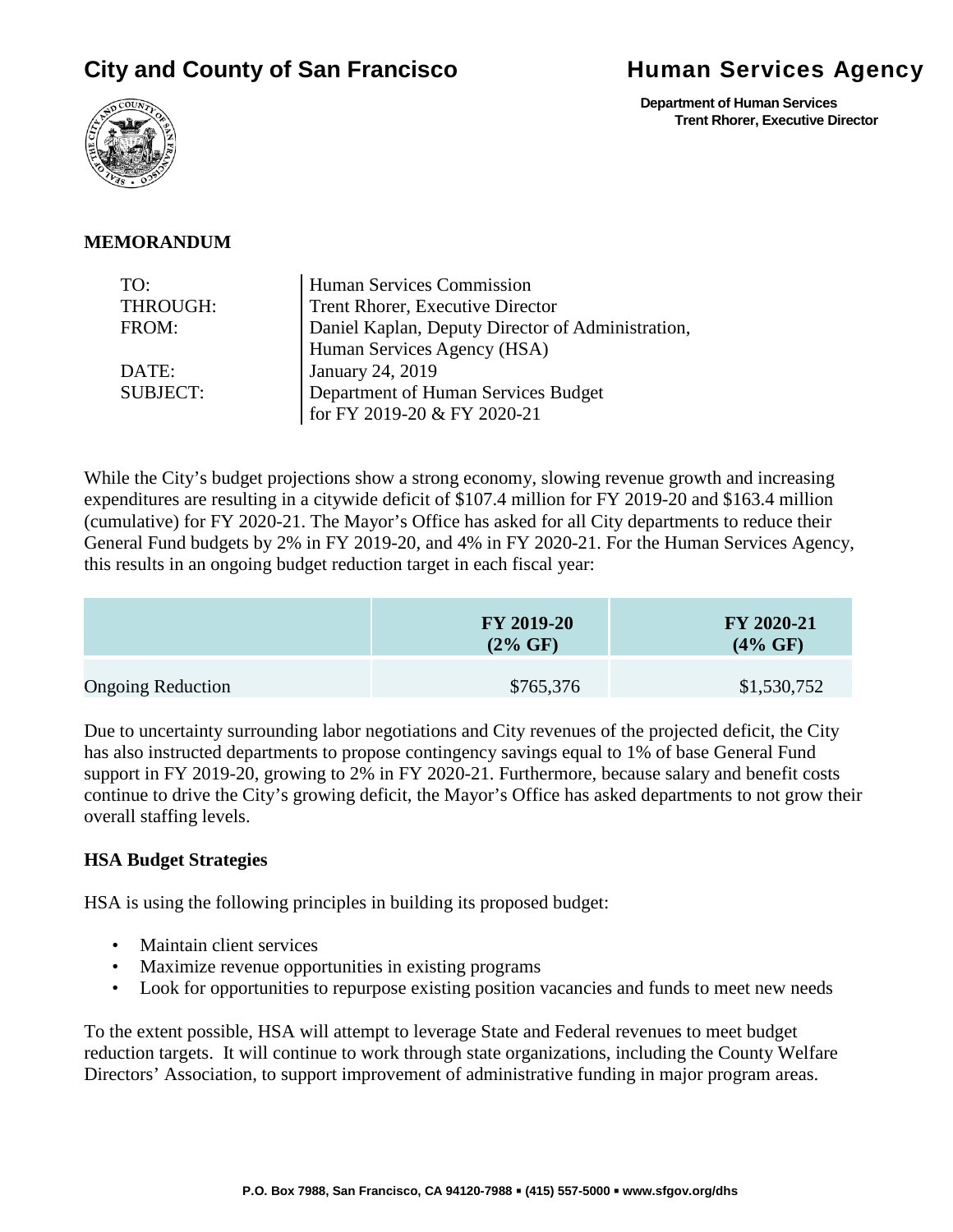# **City and County of San Francisco Bullet and Services Agency**

 **Department of Human Services Trent Rhorer, Executive Director**



#### **MEMORANDUM**

| TO:             | Human Services Commission                         |  |
|-----------------|---------------------------------------------------|--|
| THROUGH:        | Trent Rhorer, Executive Director                  |  |
| FROM:           | Daniel Kaplan, Deputy Director of Administration, |  |
|                 | Human Services Agency (HSA)                       |  |
| DATE:           | January 24, 2019                                  |  |
| <b>SUBJECT:</b> | Department of Human Services Budget               |  |
|                 | for FY 2019-20 & FY 2020-21                       |  |

While the City's budget projections show a strong economy, slowing revenue growth and increasing expenditures are resulting in a citywide deficit of \$107.4 million for FY 2019-20 and \$163.4 million (cumulative) for FY 2020-21. The Mayor's Office has asked for all City departments to reduce their General Fund budgets by 2% in FY 2019-20, and 4% in FY 2020-21. For the Human Services Agency, this results in an ongoing budget reduction target in each fiscal year:

|                          | <b>FY 2019-20</b><br>$(2\% \text{ GF})$ | <b>FY 2020-21</b><br>$(4\% \text{ GF})$ |
|--------------------------|-----------------------------------------|-----------------------------------------|
| <b>Ongoing Reduction</b> | \$765,376                               | \$1,530,752                             |

Due to uncertainty surrounding labor negotiations and City revenues of the projected deficit, the City has also instructed departments to propose contingency savings equal to 1% of base General Fund support in FY 2019-20, growing to 2% in FY 2020-21. Furthermore, because salary and benefit costs continue to drive the City's growing deficit, the Mayor's Office has asked departments to not grow their overall staffing levels.

#### **HSA Budget Strategies**

HSA is using the following principles in building its proposed budget:

- Maintain client services
- Maximize revenue opportunities in existing programs
- Look for opportunities to repurpose existing position vacancies and funds to meet new needs

To the extent possible, HSA will attempt to leverage State and Federal revenues to meet budget reduction targets. It will continue to work through state organizations, including the County Welfare Directors' Association, to support improvement of administrative funding in major program areas.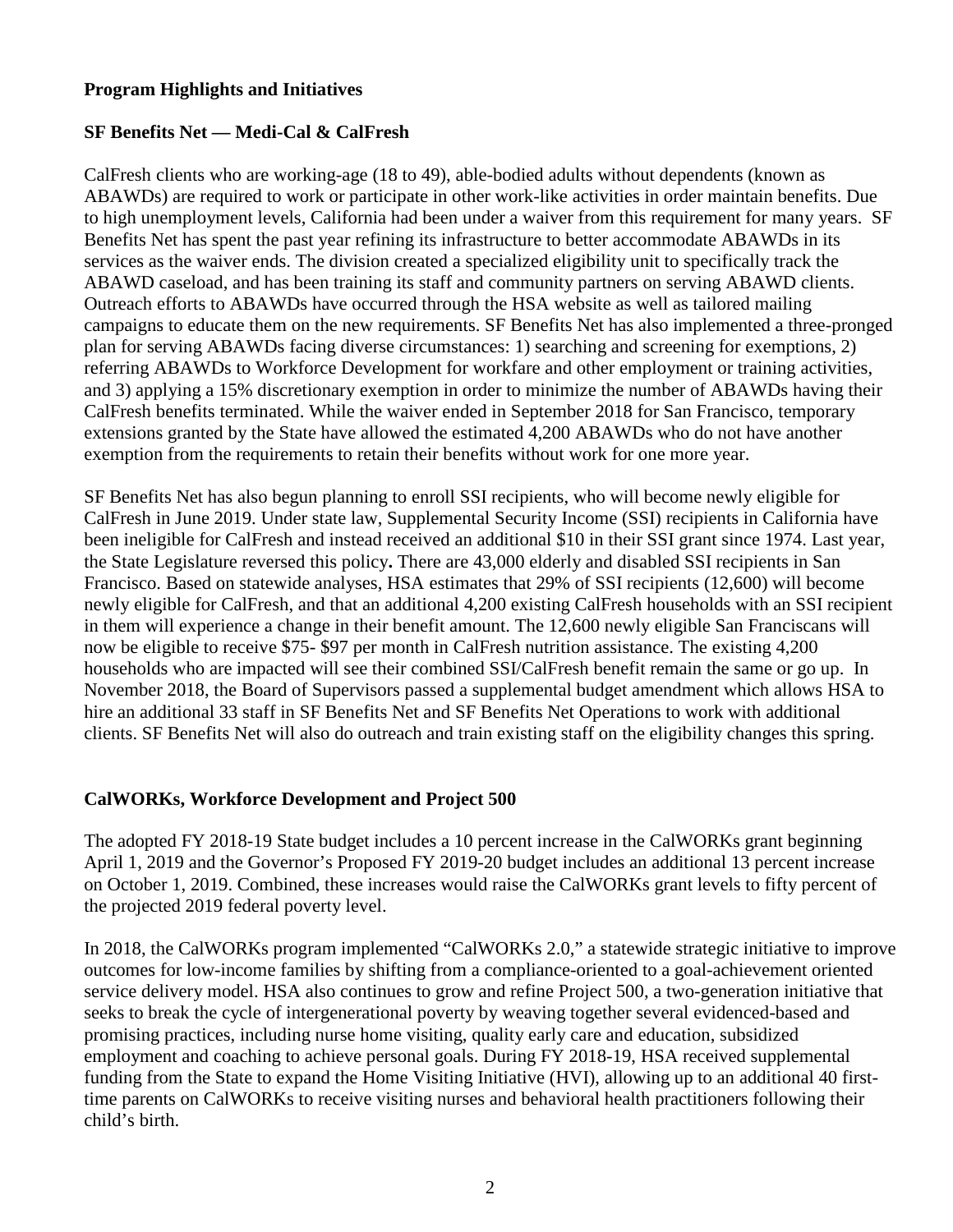#### **Program Highlights and Initiatives**

#### **SF Benefits Net — Medi-Cal & CalFresh**

CalFresh clients who are working-age (18 to 49), able-bodied adults without dependents (known as ABAWDs) are required to work or participate in other work-like activities in order maintain benefits. Due to high unemployment levels, California had been under a waiver from this requirement for many years. SF Benefits Net has spent the past year refining its infrastructure to better accommodate ABAWDs in its services as the waiver ends. The division created a specialized eligibility unit to specifically track the ABAWD caseload, and has been training its staff and community partners on serving ABAWD clients. Outreach efforts to ABAWDs have occurred through the HSA website as well as tailored mailing campaigns to educate them on the new requirements. SF Benefits Net has also implemented a three-pronged plan for serving ABAWDs facing diverse circumstances: 1) searching and screening for exemptions, 2) referring ABAWDs to Workforce Development for workfare and other employment or training activities, and 3) applying a 15% discretionary exemption in order to minimize the number of ABAWDs having their CalFresh benefits terminated. While the waiver ended in September 2018 for San Francisco, temporary extensions granted by the State have allowed the estimated 4,200 ABAWDs who do not have another exemption from the requirements to retain their benefits without work for one more year.

SF Benefits Net has also begun planning to enroll SSI recipients, who will become newly eligible for CalFresh in June 2019. Under state law, Supplemental Security Income (SSI) recipients in California have been ineligible for CalFresh and instead received an additional \$10 in their SSI grant since 1974. Last year, the State Legislature reversed this policy**.** There are 43,000 elderly and disabled SSI recipients in San Francisco. Based on statewide analyses, HSA estimates that 29% of SSI recipients (12,600) will become newly eligible for CalFresh, and that an additional 4,200 existing CalFresh households with an SSI recipient in them will experience a change in their benefit amount. The 12,600 newly eligible San Franciscans will now be eligible to receive \$75- \$97 per month in CalFresh nutrition assistance. The existing 4,200 households who are impacted will see their combined SSI/CalFresh benefit remain the same or go up. In November 2018, the Board of Supervisors passed a supplemental budget amendment which allows HSA to hire an additional 33 staff in SF Benefits Net and SF Benefits Net Operations to work with additional clients. SF Benefits Net will also do outreach and train existing staff on the eligibility changes this spring.

#### **CalWORKs, Workforce Development and Project 500**

The adopted FY 2018-19 State budget includes a 10 percent increase in the CalWORKs grant beginning April 1, 2019 and the Governor's Proposed FY 2019-20 budget includes an additional 13 percent increase on October 1, 2019. Combined, these increases would raise the CalWORKs grant levels to fifty percent of the projected 2019 federal poverty level.

In 2018, the CalWORKs program implemented "CalWORKs 2.0," a statewide strategic initiative to improve outcomes for low-income families by shifting from a compliance-oriented to a goal-achievement oriented service delivery model. HSA also continues to grow and refine Project 500, a two-generation initiative that seeks to break the cycle of intergenerational poverty by weaving together several evidenced-based and promising practices, including nurse home visiting, quality early care and education, subsidized employment and coaching to achieve personal goals. During FY 2018-19, HSA received supplemental funding from the State to expand the Home Visiting Initiative (HVI), allowing up to an additional 40 firsttime parents on CalWORKs to receive visiting nurses and behavioral health practitioners following their child's birth.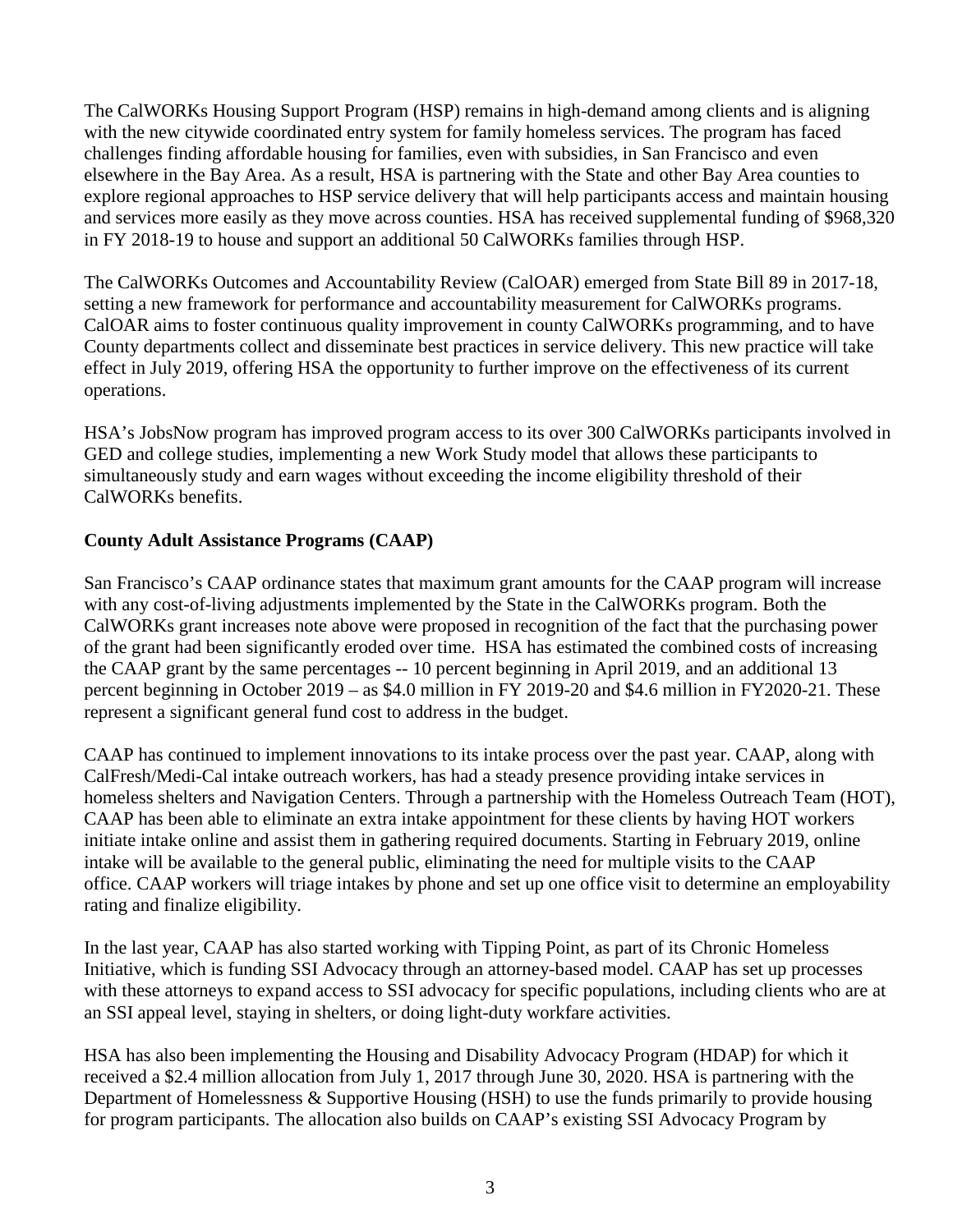The CalWORKs Housing Support Program (HSP) remains in high-demand among clients and is aligning with the new citywide coordinated entry system for family homeless services. The program has faced challenges finding affordable housing for families, even with subsidies, in San Francisco and even elsewhere in the Bay Area. As a result, HSA is partnering with the State and other Bay Area counties to explore regional approaches to HSP service delivery that will help participants access and maintain housing and services more easily as they move across counties. HSA has received supplemental funding of \$968,320 in FY 2018-19 to house and support an additional 50 CalWORKs families through HSP.

The CalWORKs Outcomes and Accountability Review (CalOAR) emerged from State Bill 89 in 2017-18, setting a new framework for performance and accountability measurement for CalWORKs programs. CalOAR aims to foster continuous quality improvement in county CalWORKs programming, and to have County departments collect and disseminate best practices in service delivery. This new practice will take effect in July 2019, offering HSA the opportunity to further improve on the effectiveness of its current operations.

HSA's JobsNow program has improved program access to its over 300 CalWORKs participants involved in GED and college studies, implementing a new Work Study model that allows these participants to simultaneously study and earn wages without exceeding the income eligibility threshold of their CalWORKs benefits.

### **County Adult Assistance Programs (CAAP)**

San Francisco's CAAP ordinance states that maximum grant amounts for the CAAP program will increase with any cost-of-living adjustments implemented by the State in the CalWORKs program. Both the CalWORKs grant increases note above were proposed in recognition of the fact that the purchasing power of the grant had been significantly eroded over time. HSA has estimated the combined costs of increasing the CAAP grant by the same percentages -- 10 percent beginning in April 2019, and an additional 13 percent beginning in October 2019 – as \$4.0 million in FY 2019-20 and \$4.6 million in FY2020-21. These represent a significant general fund cost to address in the budget.

CAAP has continued to implement innovations to its intake process over the past year. CAAP, along with CalFresh/Medi-Cal intake outreach workers, has had a steady presence providing intake services in homeless shelters and Navigation Centers. Through a partnership with the Homeless Outreach Team (HOT), CAAP has been able to eliminate an extra intake appointment for these clients by having HOT workers initiate intake online and assist them in gathering required documents. Starting in February 2019, online intake will be available to the general public, eliminating the need for multiple visits to the CAAP office. CAAP workers will triage intakes by phone and set up one office visit to determine an employability rating and finalize eligibility.

In the last year, CAAP has also started working with Tipping Point, as part of its Chronic Homeless Initiative, which is funding SSI Advocacy through an attorney-based model. CAAP has set up processes with these attorneys to expand access to SSI advocacy for specific populations, including clients who are at an SSI appeal level, staying in shelters, or doing light-duty workfare activities.

HSA has also been implementing the Housing and Disability Advocacy Program (HDAP) for which it received a \$2.4 million allocation from July 1, 2017 through June 30, 2020. HSA is partnering with the Department of Homelessness & Supportive Housing (HSH) to use the funds primarily to provide housing for program participants. The allocation also builds on CAAP's existing SSI Advocacy Program by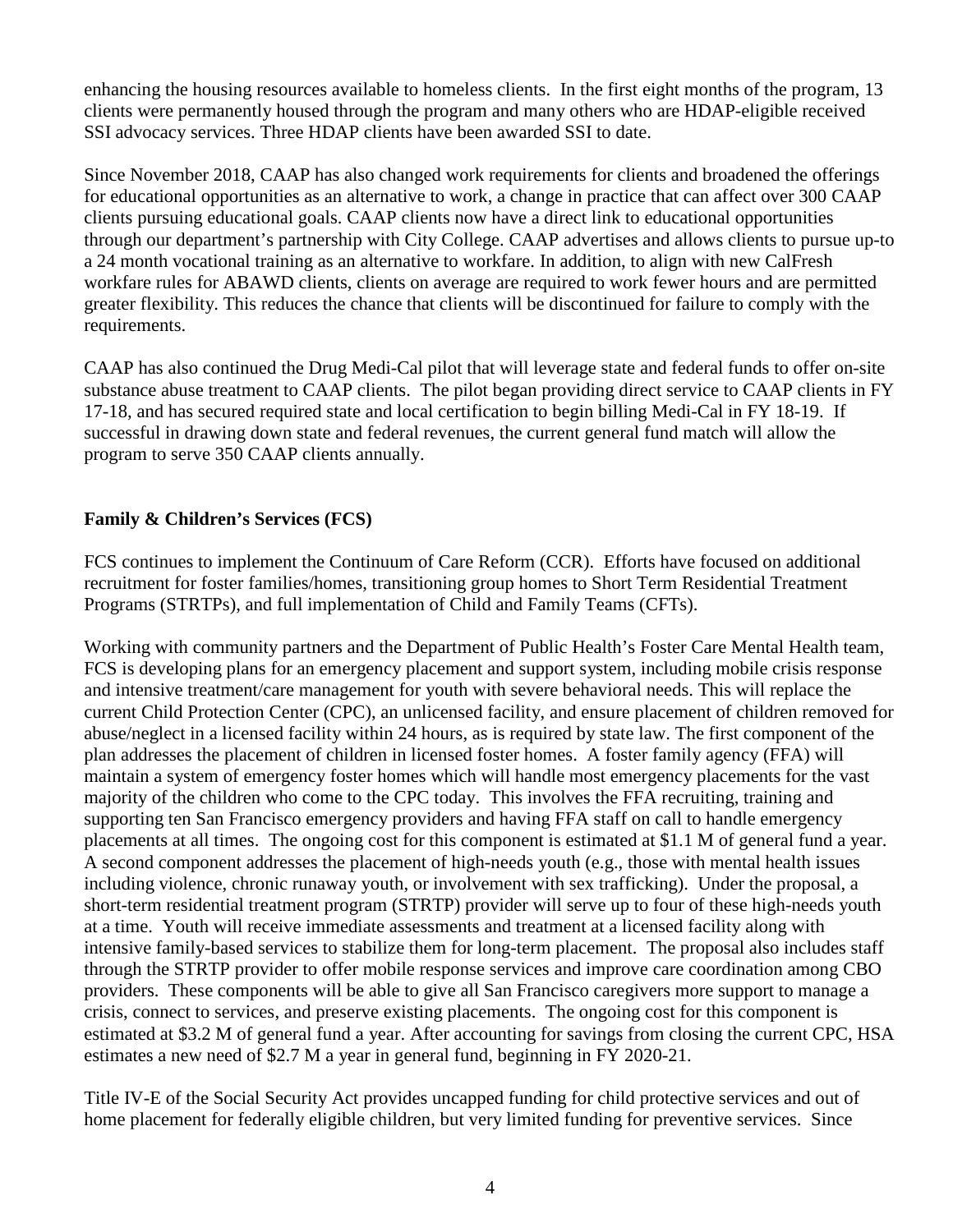enhancing the housing resources available to homeless clients. In the first eight months of the program, 13 clients were permanently housed through the program and many others who are HDAP-eligible received SSI advocacy services. Three HDAP clients have been awarded SSI to date.

Since November 2018, CAAP has also changed work requirements for clients and broadened the offerings for educational opportunities as an alternative to work, a change in practice that can affect over 300 CAAP clients pursuing educational goals. CAAP clients now have a direct link to educational opportunities through our department's partnership with City College. CAAP advertises and allows clients to pursue up-to a 24 month vocational training as an alternative to workfare. In addition, to align with new CalFresh workfare rules for ABAWD clients, clients on average are required to work fewer hours and are permitted greater flexibility. This reduces the chance that clients will be discontinued for failure to comply with the requirements.

CAAP has also continued the Drug Medi-Cal pilot that will leverage state and federal funds to offer on-site substance abuse treatment to CAAP clients. The pilot began providing direct service to CAAP clients in FY 17-18, and has secured required state and local certification to begin billing Medi-Cal in FY 18-19. If successful in drawing down state and federal revenues, the current general fund match will allow the program to serve 350 CAAP clients annually.

#### **Family & Children's Services (FCS)**

FCS continues to implement the Continuum of Care Reform (CCR). Efforts have focused on additional recruitment for foster families/homes, transitioning group homes to Short Term Residential Treatment Programs (STRTPs), and full implementation of Child and Family Teams (CFTs).

Working with community partners and the Department of Public Health's Foster Care Mental Health team, FCS is developing plans for an emergency placement and support system, including mobile crisis response and intensive treatment/care management for youth with severe behavioral needs. This will replace the current Child Protection Center (CPC), an unlicensed facility, and ensure placement of children removed for abuse/neglect in a licensed facility within 24 hours, as is required by state law. The first component of the plan addresses the placement of children in licensed foster homes. A foster family agency (FFA) will maintain a system of emergency foster homes which will handle most emergency placements for the vast majority of the children who come to the CPC today. This involves the FFA recruiting, training and supporting ten San Francisco emergency providers and having FFA staff on call to handle emergency placements at all times. The ongoing cost for this component is estimated at \$1.1 M of general fund a year. A second component addresses the placement of high-needs youth (e.g., those with mental health issues including violence, chronic runaway youth, or involvement with sex trafficking). Under the proposal, a short-term residential treatment program (STRTP) provider will serve up to four of these high-needs youth at a time. Youth will receive immediate assessments and treatment at a licensed facility along with intensive family-based services to stabilize them for long-term placement. The proposal also includes staff through the STRTP provider to offer mobile response services and improve care coordination among CBO providers. These components will be able to give all San Francisco caregivers more support to manage a crisis, connect to services, and preserve existing placements. The ongoing cost for this component is estimated at \$3.2 M of general fund a year. After accounting for savings from closing the current CPC, HSA estimates a new need of \$2.7 M a year in general fund, beginning in FY 2020-21.

Title IV-E of the Social Security Act provides uncapped funding for child protective services and out of home placement for federally eligible children, but very limited funding for preventive services. Since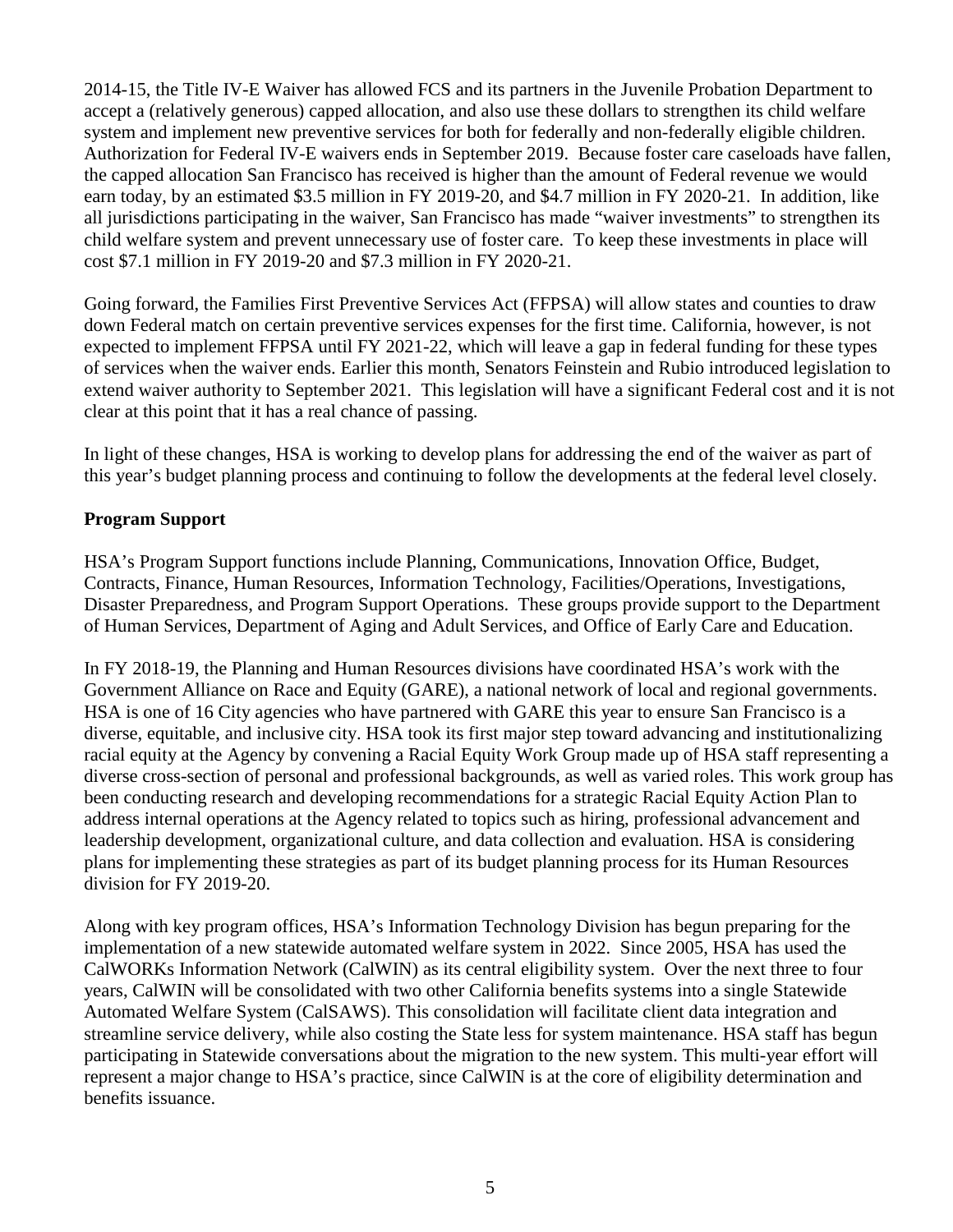2014-15, the Title IV-E Waiver has allowed FCS and its partners in the Juvenile Probation Department to accept a (relatively generous) capped allocation, and also use these dollars to strengthen its child welfare system and implement new preventive services for both for federally and non-federally eligible children. Authorization for Federal IV-E waivers ends in September 2019. Because foster care caseloads have fallen, the capped allocation San Francisco has received is higher than the amount of Federal revenue we would earn today, by an estimated \$3.5 million in FY 2019-20, and \$4.7 million in FY 2020-21. In addition, like all jurisdictions participating in the waiver, San Francisco has made "waiver investments" to strengthen its child welfare system and prevent unnecessary use of foster care. To keep these investments in place will cost \$7.1 million in FY 2019-20 and \$7.3 million in FY 2020-21.

Going forward, the Families First Preventive Services Act (FFPSA) will allow states and counties to draw down Federal match on certain preventive services expenses for the first time. California, however, is not expected to implement FFPSA until FY 2021-22, which will leave a gap in federal funding for these types of services when the waiver ends. Earlier this month, Senators Feinstein and Rubio introduced legislation to extend waiver authority to September 2021. This legislation will have a significant Federal cost and it is not clear at this point that it has a real chance of passing.

In light of these changes, HSA is working to develop plans for addressing the end of the waiver as part of this year's budget planning process and continuing to follow the developments at the federal level closely.

#### **Program Support**

HSA's Program Support functions include Planning, Communications, Innovation Office, Budget, Contracts, Finance, Human Resources, Information Technology, Facilities/Operations, Investigations, Disaster Preparedness, and Program Support Operations. These groups provide support to the Department of Human Services, Department of Aging and Adult Services, and Office of Early Care and Education.

In FY 2018-19, the Planning and Human Resources divisions have coordinated HSA's work with the Government Alliance on Race and Equity (GARE), a national network of local and regional governments. HSA is one of 16 City agencies who have partnered with GARE this year to ensure San Francisco is a diverse, equitable, and inclusive city. HSA took its first major step toward advancing and institutionalizing racial equity at the Agency by convening a Racial Equity Work Group made up of HSA staff representing a diverse cross-section of personal and professional backgrounds, as well as varied roles. This work group has been conducting research and developing recommendations for a strategic Racial Equity Action Plan to address internal operations at the Agency related to topics such as hiring, professional advancement and leadership development, organizational culture, and data collection and evaluation. HSA is considering plans for implementing these strategies as part of its budget planning process for its Human Resources division for FY 2019-20.

Along with key program offices, HSA's Information Technology Division has begun preparing for the implementation of a new statewide automated welfare system in 2022. Since 2005, HSA has used the CalWORKs Information Network (CalWIN) as its central eligibility system. Over the next three to four years, CalWIN will be consolidated with two other California benefits systems into a single Statewide Automated Welfare System (CalSAWS). This consolidation will facilitate client data integration and streamline service delivery, while also costing the State less for system maintenance. HSA staff has begun participating in Statewide conversations about the migration to the new system. This multi-year effort will represent a major change to HSA's practice, since CalWIN is at the core of eligibility determination and benefits issuance.